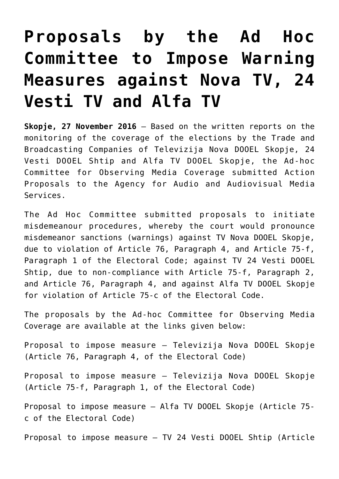## **[Proposals by the Ad Hoc](https://avmu.mk/en/2016/11/27/2016-11-27-13-05-59/) [Committee to Impose Warning](https://avmu.mk/en/2016/11/27/2016-11-27-13-05-59/) [Measures against Nova TV, 24](https://avmu.mk/en/2016/11/27/2016-11-27-13-05-59/) [Vesti TV and Alfa TV](https://avmu.mk/en/2016/11/27/2016-11-27-13-05-59/)**

**Skopje, 27 November 2016** – Based on the written reports on the monitoring of the coverage of the elections by the Trade and Broadcasting Companies of Televizija Nova DOOEL Skopje, 24 Vesti DOOEL Shtip and Alfa TV DOOEL Skopje, the Ad-hoc Committee for Observing Media Coverage submitted Action Proposals to the Agency for Audio and Audiovisual Media Services.

The Ad Hoc Committee submitted proposals to initiate misdemeanour procedures, whereby the court would pronounce misdemeanor sanctions (warnings) against TV Nova DOOEL Skopje, due to violation of Article 76, Paragraph 4, and Article 75-f, Paragraph 1 of the Electoral Code; against TV 24 Vesti DOOEL Shtip, due to non-compliance with Article 75-f, Paragraph 2, and Article 76, Paragraph 4, and against Alfa TV DOOEL Skopje for violation of Article 75-c of the Electoral Code.

The proposals by the Ad-hoc Committee for Observing Media Coverage are available at the links given below:

[Proposal to impose measure – Televizija Nova DOOEL Skopje](http://avmu.mk/wp-content/uploads/2017/05/Predlog_NOva_TV_76_stav_4_27.11.2016.pdf) (Article 76, Paragraph 4, of the Electoral Code)

[Proposal to impose measure – Televizija Nova DOOEL Skopje](http://avmu.mk/wp-content/uploads/2017/05/Predlog_Nova_TV_75ѓ_став_1_27.11.2016.pdf) (Article 75-f, Paragraph 1, of the Electoral Code)

[Proposal to impose measure – Alfa TV DOOEL Skopje](http://avmu.mk/wp-content/uploads/2017/05/Predlog_TV_Alfa_27.11.2016.pdf) (Article 75 c of the Electoral Code)

[Proposal to impose measure – TV 24 Vesti DOOEL Shtip \(](http://avmu.mk/wp-content/uploads/2017/05/Predlog_24_Vesti_clen_75_stav_2_27.11.2016.pdf)Article